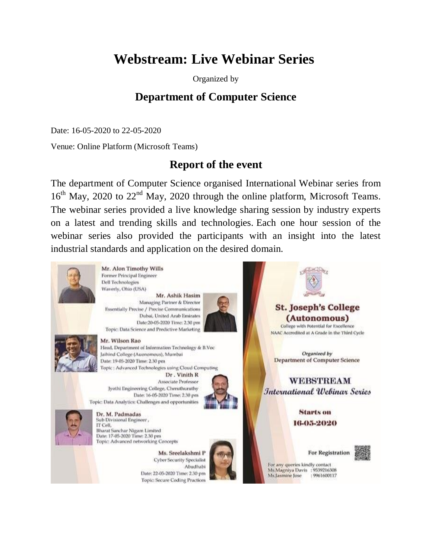# **Webstream: Live Webinar Series**

Organized by

## **Department of Computer Science**

Date: 16-05-2020 to 22-05-2020

Venue: Online Platform (Microsoft Teams)

## **Report of the event**

The department of Computer Science organised International Webinar series from  $16<sup>th</sup>$  May, 2020 to 22<sup>nd</sup> May, 2020 through the online platform, Microsoft Teams. The webinar series provided a live knowledge sharing session by industry experts on a latest and trending skills and technologies. Each one hour session of the webinar series also provided the participants with an insight into the latest industrial standards and application on the desired domain.



Mr. Alon Timothy Wills Former Principal Engineer Dell Technologies Waverly, Ohio (USA)

Mr. Ashik Hasim Managing Partner & Director Essentially Precise / Precise Communications Dubai, United Arab Emirates Date:20-05-2020 Time: 2.30 pm Topic: Data Science and Predictive Marketing



Mr. Wilson Rao

Head, Department of Information Technology & B.Voc Jaihind College (Auonomous), Mumbai Date: 19-05-2020 Time: 2.30 pm Topic: Advanced Technologies using Cloud Computing

Dr. Vinith R Associate Professor Jyothi Engineering College, Cheruthuruthy Date: 16-05-2020 Time: 2.30 pm Topic: Data Analytics: Challenges and opportunities





Dr. M. Padmadas Sub Divisional Engineer, IT Cell. **Bharat Sanchar Nigam Limited** Date: 17-05-2020 Time: 2.30 pm Topic: Advanced networking Concepts

> Ms. Sreelakshmi P **Cyber Security Specialist** Abudhabi Date: 22-05-2020 Time: 2.30 pm **Topic: Secure Coding Practices**



**St. Joseph's College** (Autonomous) College with Potential for Excellence NAAC Accredited at A Grade in the Third Cycle Organized by **Department of Computer Science WEBSTREAM** 

International Webinar Series

Starts on 16-05-2020

For Registration



For any queries kindly contact Ms.Magniya Davis : 9539216308 Ms.Jasmine Jose 19961600117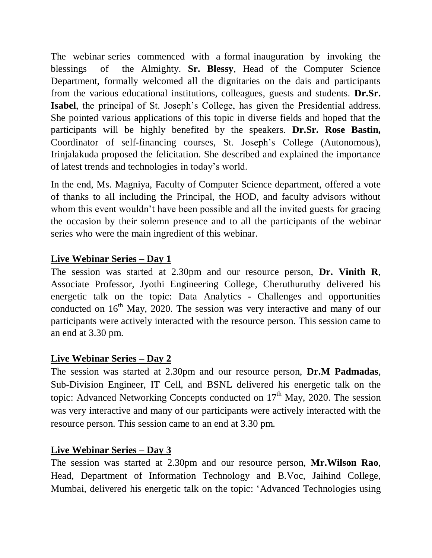The webinar series commenced with a formal inauguration by invoking the blessings of the Almighty. **Sr. Blessy**, Head of the Computer Science Department, formally welcomed all the dignitaries on the dais and participants from the various educational institutions, colleagues, guests and students. **Dr.Sr. Isabel**, the principal of St. Joseph's College, has given the Presidential address. She pointed various applications of this topic in diverse fields and hoped that the participants will be highly benefited by the speakers. **Dr.Sr. Rose Bastin,** Coordinator of self-financing courses, St. Joseph's College (Autonomous), Irinjalakuda proposed the felicitation. She described and explained the importance of latest trends and technologies in today's world.

In the end, Ms. Magniya, Faculty of Computer Science department, offered a vote of thanks to all including the Principal, the HOD, and faculty advisors without whom this event wouldn't have been possible and all the invited guests for gracing the occasion by their solemn presence and to all the participants of the webinar series who were the main ingredient of this webinar.

#### **Live Webinar Series – Day 1**

The session was started at 2.30pm and our resource person, **Dr. Vinith R**, Associate Professor, Jyothi Engineering College, Cheruthuruthy delivered his energetic talk on the topic: Data Analytics - Challenges and opportunities conducted on  $16<sup>th</sup>$  May, 2020. The session was very interactive and many of our participants were actively interacted with the resource person. This session came to an end at 3.30 pm.

#### **Live Webinar Series – Day 2**

The session was started at 2.30pm and our resource person, **Dr.M Padmadas**, Sub-Division Engineer, IT Cell, and BSNL delivered his energetic talk on the topic: Advanced Networking Concepts conducted on  $17<sup>th</sup>$  May, 2020. The session was very interactive and many of our participants were actively interacted with the resource person. This session came to an end at 3.30 pm.

### **Live Webinar Series – Day 3**

The session was started at 2.30pm and our resource person, **Mr.Wilson Rao**, Head, Department of Information Technology and B.Voc, Jaihind College, Mumbai, delivered his energetic talk on the topic: 'Advanced Technologies using